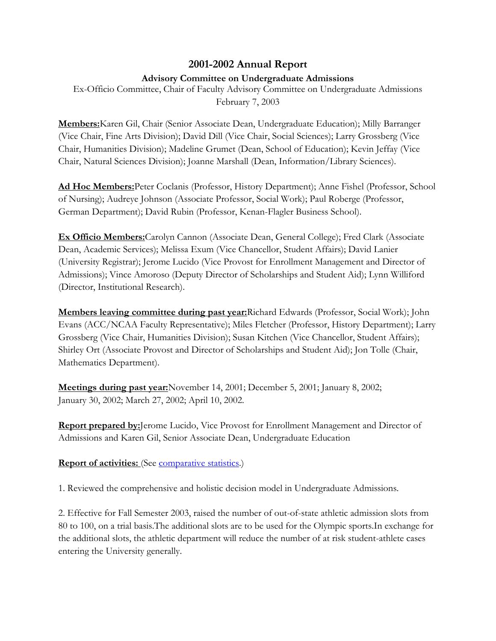## **2001-2002 Annual Report**

## **Advisory Committee on Undergraduate Admissions**

Ex-Officio Committee, Chair of Faculty Advisory Committee on Undergraduate Admissions February 7, 2003

**Members:**Karen Gil, Chair (Senior Associate Dean, Undergraduate Education); Milly Barranger (Vice Chair, Fine Arts Division); David Dill (Vice Chair, Social Sciences); Larry Grossberg (Vice Chair, Humanities Division); Madeline Grumet (Dean, School of Education); Kevin Jeffay (Vice Chair, Natural Sciences Division); Joanne Marshall (Dean, Information/Library Sciences).

**Ad Hoc Members:**Peter Coclanis (Professor, History Department); Anne Fishel (Professor, School of Nursing); Audreye Johnson (Associate Professor, Social Work); Paul Roberge (Professor, German Department); David Rubin (Professor, Kenan-Flagler Business School).

**Ex Officio Members:**Carolyn Cannon (Associate Dean, General College); Fred Clark (Associate Dean, Academic Services); Melissa Exum (Vice Chancellor, Student Affairs); David Lanier (University Registrar); Jerome Lucido (Vice Provost for Enrollment Management and Director of Admissions); Vince Amoroso (Deputy Director of Scholarships and Student Aid); Lynn Williford (Director, Institutional Research).

**Members leaving committee during past year:**Richard Edwards (Professor, Social Work); John Evans (ACC/NCAA Faculty Representative); Miles Fletcher (Professor, History Department); Larry Grossberg (Vice Chair, Humanities Division); Susan Kitchen (Vice Chancellor, Student Affairs); Shirley Ort (Associate Provost and Director of Scholarships and Student Aid); Jon Tolle (Chair, Mathematics Department).

**Meetings during past year:**November 14, 2001; December 5, 2001; January 8, 2002; January 30, 2002; March 27, 2002; April 10, 2002.

**Report prepared by:**Jerome Lucido, Vice Provost for Enrollment Management and Director of Admissions and Karen Gil, Senior Associate Dean, Undergraduate Education

**Report of activities:** (See [comparative statistics.](http://www.unc.edu/faculty/faccoun/reports/2002-03/R03ADM2.htm))

1. Reviewed the comprehensive and holistic decision model in Undergraduate Admissions.

2. Effective for Fall Semester 2003, raised the number of out-of-state athletic admission slots from 80 to 100, on a trial basis.The additional slots are to be used for the Olympic sports.In exchange for the additional slots, the athletic department will reduce the number of at risk student-athlete cases entering the University generally.